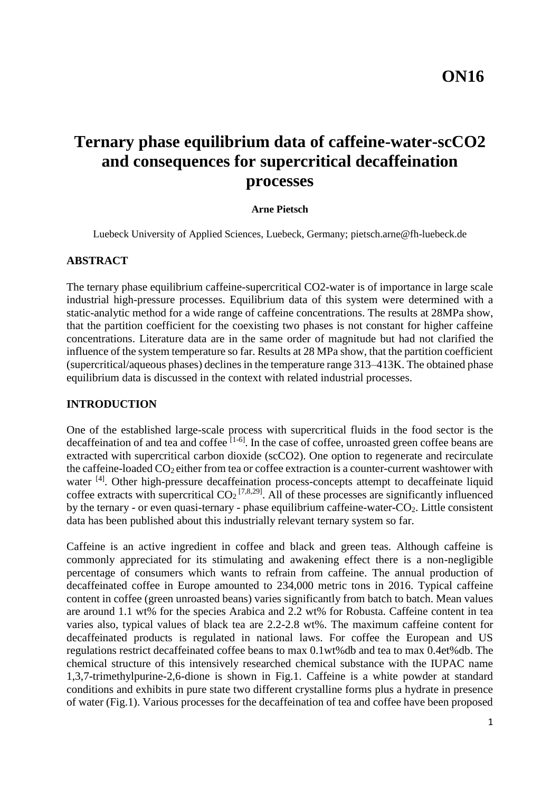# **Ternary phase equilibrium data of caffeine-water-scCO2 and consequences for supercritical decaffeination processes**

#### **Arne Pietsch**

Luebeck University of Applied Sciences, Luebeck, Germany; pietsch.arne@fh-luebeck.de

### **ABSTRACT**

The ternary phase equilibrium caffeine-supercritical CO2-water is of importance in large scale industrial high-pressure processes. Equilibrium data of this system were determined with a static-analytic method for a wide range of caffeine concentrations. The results at 28MPa show, that the partition coefficient for the coexisting two phases is not constant for higher caffeine concentrations. Literature data are in the same order of magnitude but had not clarified the influence of the system temperature so far. Results at 28 MPa show, that the partition coefficient (supercritical/aqueous phases) declines in the temperature range 313–413K. The obtained phase equilibrium data is discussed in the context with related industrial processes.

# **INTRODUCTION**

One of the established large-scale process with supercritical fluids in the food sector is the decaffeination of and tea and coffee  $[1-6]$ . In the case of coffee, unroasted green coffee beans are extracted with supercritical carbon dioxide (scCO2). One option to regenerate and recirculate the caffeine-loaded  $CO<sub>2</sub>$  either from tea or coffee extraction is a counter-current washtower with water <sup>[4]</sup>. Other high-pressure decaffeination process-concepts attempt to decaffeinate liquid coffee extracts with supercritical  $CO_2$ <sup>[7,8,29]</sup>. All of these processes are significantly influenced by the ternary - or even quasi-ternary - phase equilibrium caffeine-water-CO2. Little consistent data has been published about this industrially relevant ternary system so far.

Caffeine is an active ingredient in coffee and black and green teas. Although caffeine is commonly appreciated for its stimulating and awakening effect there is a non-negligible percentage of consumers which wants to refrain from caffeine. The annual production of decaffeinated coffee in Europe amounted to 234,000 metric tons in 2016. Typical caffeine content in coffee (green unroasted beans) varies significantly from batch to batch. Mean values are around 1.1 wt% for the species Arabica and 2.2 wt% for Robusta. Caffeine content in tea varies also, typical values of black tea are 2.2-2.8 wt%. The maximum caffeine content for decaffeinated products is regulated in national laws. For coffee the European and US regulations restrict decaffeinated coffee beans to max 0.1wt%db and tea to max 0.4et%db. The chemical structure of this intensively researched chemical substance with the IUPAC name 1,3,7-trimethylpurine-2,6-dione is shown in Fig.1. Caffeine is a white powder at standard conditions and exhibits in pure state two different crystalline forms plus a hydrate in presence of water (Fig.1). Various processes for the decaffeination of tea and coffee have been proposed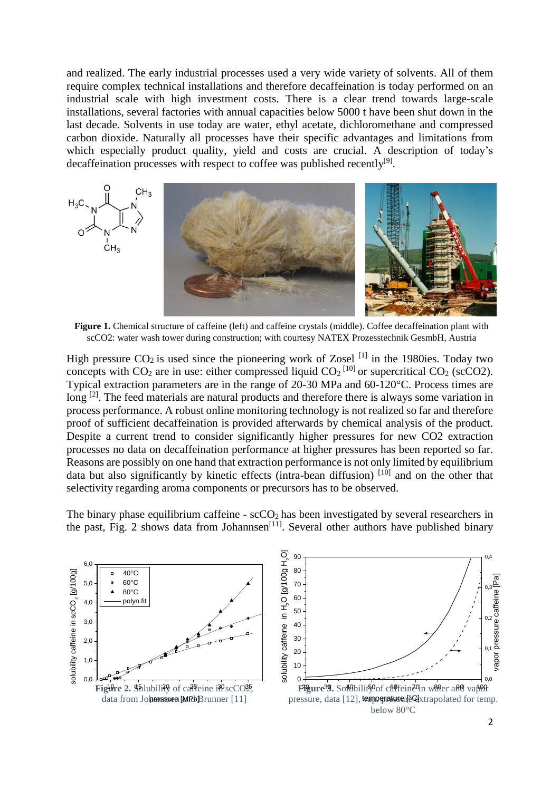and realized. The early industrial processes used a very wide variety of solvents. All of them require complex technical installations and therefore decaffeination is today performed on an industrial scale with high investment costs. There is a clear trend towards large-scale installations, several factories with annual capacities below 5000 t have been shut down in the last decade. Solvents in use today are water, ethyl acetate, dichloromethane and compressed carbon dioxide. Naturally all processes have their specific advantages and limitations from which especially product quality, yield and costs are crucial. A description of today's decaffeination processes with respect to coffee was published recently<sup>[9]</sup>.



**Figure 1.** Chemical structure of caffeine (left) and caffeine crystals (middle). Coffee decaffeination plant with scCO2: water wash tower during construction; with courtesy NATEX Prozesstechnik GesmbH, Austria

High pressure  $CO_2$  is used since the pioneering work of Zosel <sup>[1]</sup> in the 1980ies. Today two concepts with  $CO_2$  are in use: either compressed liquid  $CO_2$ <sup>[10]</sup> or supercritical  $CO_2$  (scCO2). Typical extraction parameters are in the range of 20-30 MPa and 60-120°C. Process times are long<sup>[2]</sup>. The feed materials are natural products and therefore there is always some variation in process performance. A robust online monitoring technology is not realized so far and therefore proof of sufficient decaffeination is provided afterwards by chemical analysis of the product. Despite a current trend to consider significantly higher pressures for new CO2 extraction processes no data on decaffeination performance at higher pressures has been reported so far. Reasons are possibly on one hand that extraction performance is not only limited by equilibrium data but also significantly by kinetic effects (intra-bean diffusion)  $[10]$  and on the other that selectivity regarding aroma components or precursors has to be observed.

The binary phase equilibrium caffeine -  $\sec O_2$  has been investigated by several researchers in the past, Fig. 2 shows data from Johannsen $^{[11]}$ . Several other authors have published binary



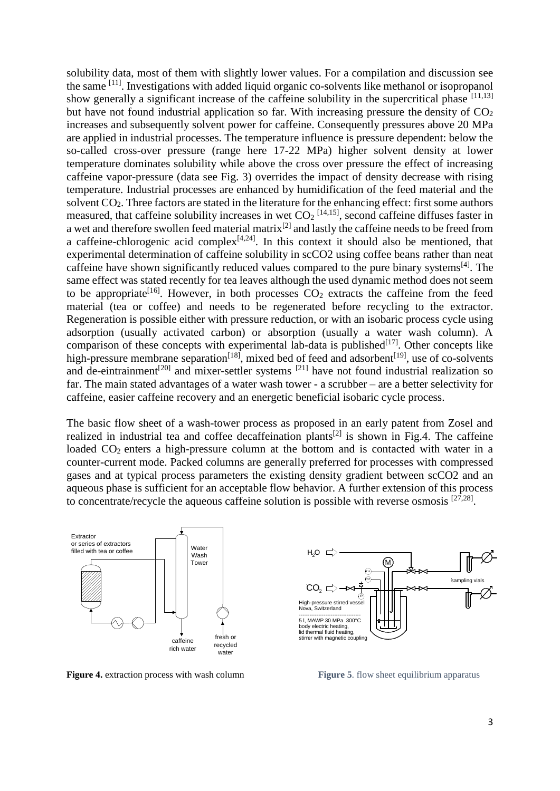solubility data, most of them with slightly lower values. For a compilation and discussion see the same <sup>[11]</sup>. Investigations with added liquid organic co-solvents like methanol or isopropanol show generally a significant increase of the caffeine solubility in the supercritical phase  $[11,13]$ but have not found industrial application so far. With increasing pressure the density of  $CO<sub>2</sub>$ increases and subsequently solvent power for caffeine. Consequently pressures above 20 MPa are applied in industrial processes. The temperature influence is pressure dependent: below the so-called cross-over pressure (range here 17-22 MPa) higher solvent density at lower temperature dominates solubility while above the cross over pressure the effect of increasing caffeine vapor-pressure (data see Fig. 3) overrides the impact of density decrease with rising temperature. Industrial processes are enhanced by humidification of the feed material and the solvent CO2. Three factors are stated in the literature for the enhancing effect: first some authors measured, that caffeine solubility increases in wet  $CO<sub>2</sub>$ <sup>[14,15]</sup>, second caffeine diffuses faster in a wet and therefore swollen feed material matrix<sup>[2]</sup> and lastly the caffeine needs to be freed from a caffeine-chlorogenic acid complex $[4,24]$ . In this context it should also be mentioned, that experimental determination of caffeine solubility in scCO2 using coffee beans rather than neat caffeine have shown significantly reduced values compared to the pure binary systems<sup>[4]</sup>. The same effect was stated recently for tea leaves although the used dynamic method does not seem to be appropriate<sup>[16]</sup>. However, in both processes  $CO<sub>2</sub>$  extracts the caffeine from the feed material (tea or coffee) and needs to be regenerated before recycling to the extractor. Regeneration is possible either with pressure reduction, or with an isobaric process cycle using adsorption (usually activated carbon) or absorption (usually a water wash column). A comparison of these concepts with experimental lab-data is published $[17]$ . Other concepts like high-pressure membrane separation<sup>[18]</sup>, mixed bed of feed and adsorbent<sup>[19]</sup>, use of co-solvents and de-eintrainment<sup>[20]</sup> and mixer-settler systems <sup>[21]</sup> have not found industrial realization so far. The main stated advantages of a water wash tower - a scrubber – are a better selectivity for caffeine, easier caffeine recovery and an energetic beneficial isobaric cycle process.

The basic flow sheet of a wash-tower process as proposed in an early patent from Zosel and realized in industrial tea and coffee decaffeination plants<sup>[2]</sup> is shown in Fig.4. The caffeine loaded  $CO<sub>2</sub>$  enters a high-pressure column at the bottom and is contacted with water in a counter-current mode. Packed columns are generally preferred for processes with compressed gases and at typical process parameters the existing density gradient between scCO2 and an aqueous phase is sufficient for an acceptable flow behavior. A further extension of this process to concentrate/recycle the aqueous caffeine solution is possible with reverse osmosis  $[27,28]$ .



**Figure 4.** extraction process with wash column



**Figure 5.** flow sheet equilibrium apparatus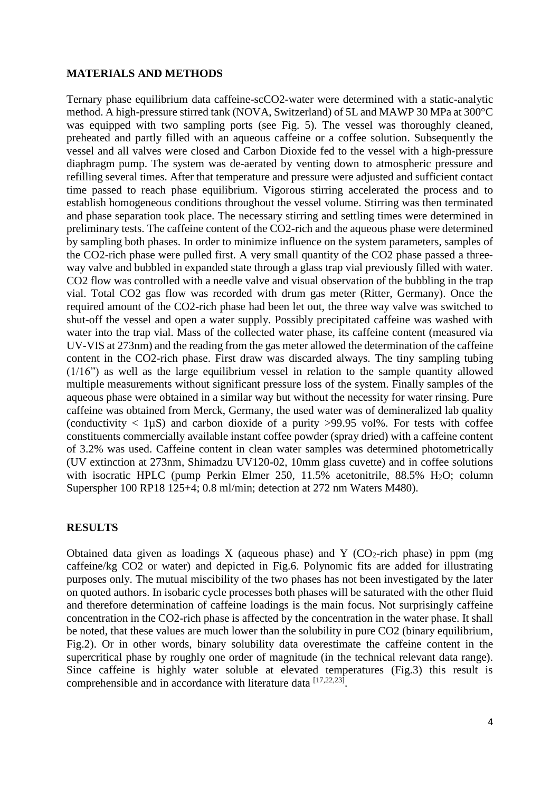### **MATERIALS AND METHODS**

Ternary phase equilibrium data caffeine-scCO2-water were determined with a static-analytic method. A high-pressure stirred tank (NOVA, Switzerland) of 5L and MAWP 30 MPa at 300°C was equipped with two sampling ports (see Fig. 5). The vessel was thoroughly cleaned, preheated and partly filled with an aqueous caffeine or a coffee solution. Subsequently the vessel and all valves were closed and Carbon Dioxide fed to the vessel with a high-pressure diaphragm pump. The system was de-aerated by venting down to atmospheric pressure and refilling several times. After that temperature and pressure were adjusted and sufficient contact time passed to reach phase equilibrium. Vigorous stirring accelerated the process and to establish homogeneous conditions throughout the vessel volume. Stirring was then terminated and phase separation took place. The necessary stirring and settling times were determined in preliminary tests. The caffeine content of the CO2-rich and the aqueous phase were determined by sampling both phases. In order to minimize influence on the system parameters, samples of the CO2-rich phase were pulled first. A very small quantity of the CO2 phase passed a threeway valve and bubbled in expanded state through a glass trap vial previously filled with water. CO2 flow was controlled with a needle valve and visual observation of the bubbling in the trap vial. Total CO2 gas flow was recorded with drum gas meter (Ritter, Germany). Once the required amount of the CO2-rich phase had been let out, the three way valve was switched to shut-off the vessel and open a water supply. Possibly precipitated caffeine was washed with water into the trap vial. Mass of the collected water phase, its caffeine content (measured via UV-VIS at 273nm) and the reading from the gas meter allowed the determination of the caffeine content in the CO2-rich phase. First draw was discarded always. The tiny sampling tubing (1/16") as well as the large equilibrium vessel in relation to the sample quantity allowed multiple measurements without significant pressure loss of the system. Finally samples of the aqueous phase were obtained in a similar way but without the necessity for water rinsing. Pure caffeine was obtained from Merck, Germany, the used water was of demineralized lab quality (conductivity  $\langle 1\mu S \rangle$  and carbon dioxide of a purity >99.95 vol%. For tests with coffee constituents commercially available instant coffee powder (spray dried) with a caffeine content of 3.2% was used. Caffeine content in clean water samples was determined photometrically (UV extinction at 273nm, Shimadzu UV120-02, 10mm glass cuvette) and in coffee solutions with isocratic HPLC (pump Perkin Elmer 250,  $11.5\%$  acetonitrile, 88.5% H<sub>2</sub>O; column Superspher 100 RP18 125+4; 0.8 ml/min; detection at 272 nm Waters M480).

# **RESULTS**

Obtained data given as loadings X (aqueous phase) and Y ( $CO<sub>2</sub>$ -rich phase) in ppm (mg caffeine/kg CO2 or water) and depicted in Fig.6. Polynomic fits are added for illustrating purposes only. The mutual miscibility of the two phases has not been investigated by the later on quoted authors. In isobaric cycle processes both phases will be saturated with the other fluid and therefore determination of caffeine loadings is the main focus. Not surprisingly caffeine concentration in the CO2-rich phase is affected by the concentration in the water phase. It shall be noted, that these values are much lower than the solubility in pure CO2 (binary equilibrium, Fig.2). Or in other words, binary solubility data overestimate the caffeine content in the supercritical phase by roughly one order of magnitude (in the technical relevant data range). Since caffeine is highly water soluble at elevated temperatures (Fig.3) this result is comprehensible and in accordance with literature data [17,22,23].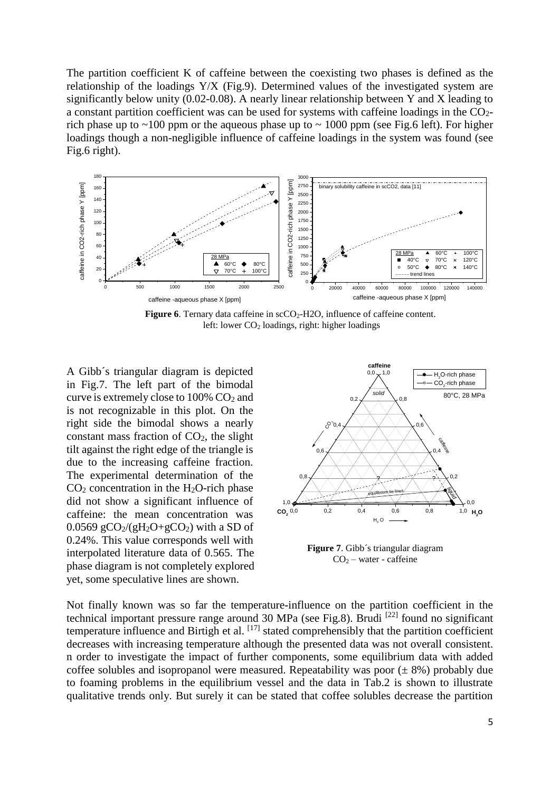The partition coefficient K of caffeine between the coexisting two phases is defined as the relationship of the loadings Y/X (Fig.9). Determined values of the investigated system are significantly below unity (0.02-0.08). A nearly linear relationship between Y and X leading to a constant partition coefficient was can be used for systems with caffeine loadings in the  $CO<sub>2</sub>$ rich phase up to  $\sim$ 100 ppm or the aqueous phase up to  $\sim$  1000 ppm (see Fig.6 left). For higher loadings though a non-negligible influence of caffeine loadings in the system was found (see Fig.6 right).



**Figure 6**. Ternary data caffeine in scCO<sub>2</sub>-H<sub>2</sub>O, influence of caffeine content. left: lower  $CO<sub>2</sub>$  loadings, right: higher loadings

A Gibb´s triangular diagram is depicted in Fig.7. The left part of the bimodal curve is extremely close to  $100\%$  CO<sub>2</sub> and is not recognizable in this plot. On the right side the bimodal shows a nearly constant mass fraction of  $CO<sub>2</sub>$ , the slight tilt against the right edge of the triangle is due to the increasing caffeine fraction. The experimental determination of the  $CO<sub>2</sub>$  concentration in the H<sub>2</sub>O-rich phase did not show a significant influence of caffeine: the mean concentration was 0.0569  $gCO_2/(gH_2O+gCO_2)$  with a SD of 0.24%. This value corresponds well with interpolated literature data of 0.565. The phase diagram is not completely explored yet, some speculative lines are shown.



**Figure 7**. Gibb´s triangular diagram CO<sup>2</sup> – water - caffeine

Not finally known was so far the temperature-influence on the partition coefficient in the technical important pressure range around 30 MPa (see Fig.8). Brudi <sup>[22]</sup> found no significant temperature influence and Birtigh et al. [17] stated comprehensibly that the partition coefficient decreases with increasing temperature although the presented data was not overall consistent. n order to investigate the impact of further components, some equilibrium data with added coffee solubles and isopropanol were measured. Repeatability was poor  $(\pm 8\%)$  probably due to foaming problems in the equilibrium vessel and the data in Tab.2 is shown to illustrate qualitative trends only. But surely it can be stated that coffee solubles decrease the partition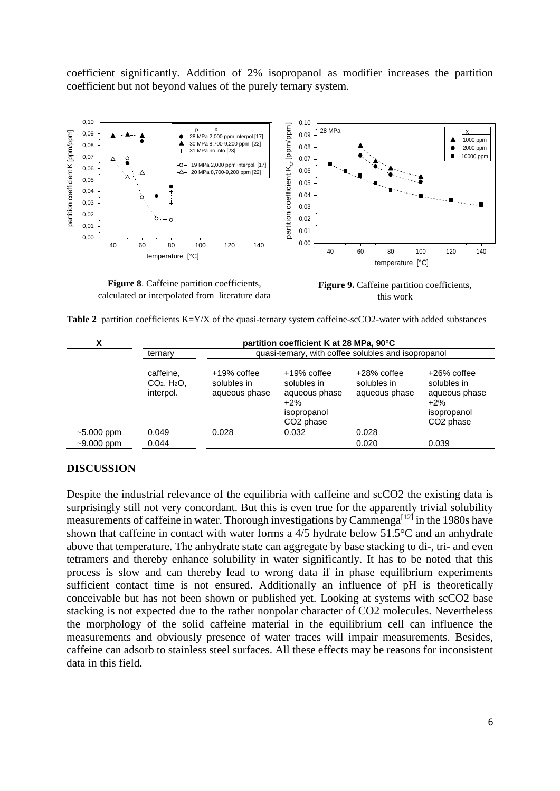coefficient significantly. Addition of 2% isopropanol as modifier increases the partition coefficient but not beyond values of the purely ternary system.



**Figure 8**. Caffeine partition coefficients, calculated or interpolated from literature data

**Figure 9.** Caffeine partition coefficients, this work

| x            | partition coefficient K at 28 MPa, 90°C             |                                                     |                                                                                                  |                                             |                                                                                                 |  |
|--------------|-----------------------------------------------------|-----------------------------------------------------|--------------------------------------------------------------------------------------------------|---------------------------------------------|-------------------------------------------------------------------------------------------------|--|
|              | ternary                                             | quasi-ternary, with coffee solubles and isopropanol |                                                                                                  |                                             |                                                                                                 |  |
|              | caffeine,<br>$CO2$ , H <sub>2</sub> O,<br>interpol. | $+19\%$ coffee<br>solubles in<br>aqueous phase      | $+19\%$ coffee<br>solubles in<br>aqueous phase<br>$+2\%$<br>isopropanol<br>CO <sub>2</sub> phase | +28% coffee<br>solubles in<br>aqueous phase | $+26\%$ coffee<br>solubles in<br>aqueous phase<br>$+2%$<br>isopropanol<br>CO <sub>2</sub> phase |  |
| $~5.000$ ppm | 0.049                                               | 0.028                                               | 0.032                                                                                            | 0.028                                       |                                                                                                 |  |
| $~1000$ ppm  | 0.044                                               |                                                     |                                                                                                  | 0.020                                       | 0.039                                                                                           |  |

# **DISCUSSION**

Despite the industrial relevance of the equilibria with caffeine and scCO2 the existing data is surprisingly still not very concordant. But this is even true for the apparently trivial solubility measurements of caffeine in water. Thorough investigations by Cammenga<sup>[12]</sup> in the 1980s have shown that caffeine in contact with water forms a 4/5 hydrate below 51.5°C and an anhydrate above that temperature. The anhydrate state can aggregate by base stacking to di-, tri- and even tetramers and thereby enhance solubility in water significantly. It has to be noted that this process is slow and can thereby lead to wrong data if in phase equilibrium experiments sufficient contact time is not ensured. Additionally an influence of pH is theoretically conceivable but has not been shown or published yet. Looking at systems with scCO2 base stacking is not expected due to the rather nonpolar character of CO2 molecules. Nevertheless the morphology of the solid caffeine material in the equilibrium cell can influence the measurements and obviously presence of water traces will impair measurements. Besides, caffeine can adsorb to stainless steel surfaces. All these effects may be reasons for inconsistent data in this field.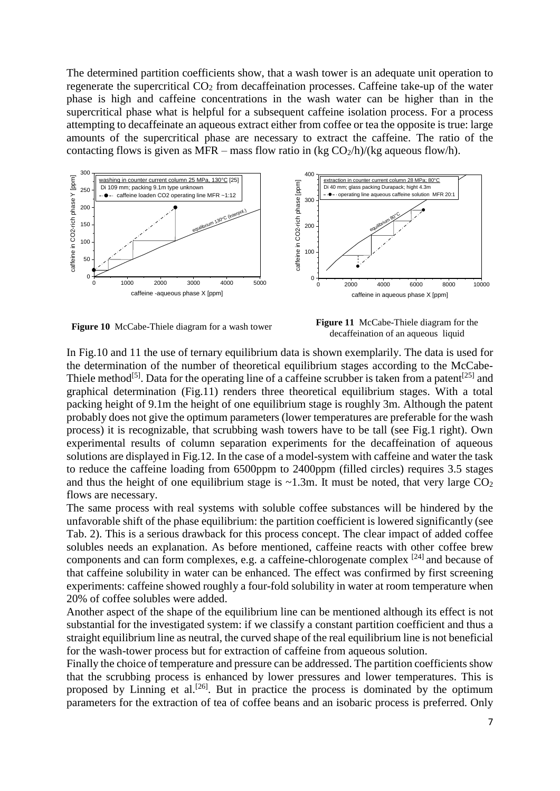The determined partition coefficients show, that a wash tower is an adequate unit operation to regenerate the supercritical CO<sub>2</sub> from decaffeination processes. Caffeine take-up of the water phase is high and caffeine concentrations in the wash water can be higher than in the supercritical phase what is helpful for a subsequent caffeine isolation process. For a process attempting to decaffeinate an aqueous extract either from coffee or tea the opposite is true: large amounts of the supercritical phase are necessary to extract the caffeine. The ratio of the contacting flows is given as MFR – mass flow ratio in (kg  $CO<sub>2</sub>/h$ )/(kg aqueous flow/h).



**Figure 10** McCabe-Thiele diagram for a wash tower **Figure 11** McCabe-Thiele diagram for the decaffeination of an aqueous liquid

In Fig.10 and 11 the use of ternary equilibrium data is shown exemplarily. The data is used for the determination of the number of theoretical equilibrium stages according to the McCabe-Thiele method<sup>[5]</sup>. Data for the operating line of a caffeine scrubber is taken from a patent<sup>[25]</sup> and graphical determination (Fig.11) renders three theoretical equilibrium stages. With a total packing height of 9.1m the height of one equilibrium stage is roughly 3m. Although the patent probably does not give the optimum parameters (lower temperatures are preferable for the wash process) it is recognizable, that scrubbing wash towers have to be tall (see Fig.1 right). Own experimental results of column separation experiments for the decaffeination of aqueous solutions are displayed in Fig.12. In the case of a model-system with caffeine and water the task to reduce the caffeine loading from 6500ppm to 2400ppm (filled circles) requires 3.5 stages and thus the height of one equilibrium stage is  $\sim$ 1.3m. It must be noted, that very large CO<sub>2</sub> flows are necessary.

The same process with real systems with soluble coffee substances will be hindered by the unfavorable shift of the phase equilibrium: the partition coefficient is lowered significantly (see Tab. 2). This is a serious drawback for this process concept. The clear impact of added coffee solubles needs an explanation. As before mentioned, caffeine reacts with other coffee brew components and can form complexes, e.g. a caffeine-chlorogenate complex [24] and because of that caffeine solubility in water can be enhanced. The effect was confirmed by first screening experiments: caffeine showed roughly a four-fold solubility in water at room temperature when 20% of coffee solubles were added.

Another aspect of the shape of the equilibrium line can be mentioned although its effect is not substantial for the investigated system: if we classify a constant partition coefficient and thus a straight equilibrium line as neutral, the curved shape of the real equilibrium line is not beneficial for the wash-tower process but for extraction of caffeine from aqueous solution.

Finally the choice of temperature and pressure can be addressed. The partition coefficients show that the scrubbing process is enhanced by lower pressures and lower temperatures. This is proposed by Linning et al.<sup>[26]</sup>. But in practice the process is dominated by the optimum parameters for the extraction of tea of coffee beans and an isobaric process is preferred. Only